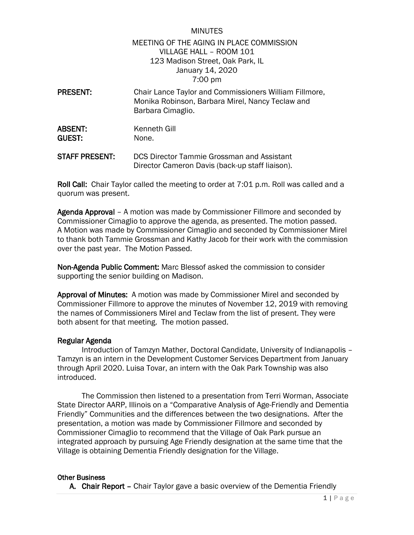## MINUTES MEETING OF THE AGING IN PLACE COMMISSION VILLAGE HALL – ROOM 101 123 Madison Street, Oak Park, IL January 14, 2020 7:00 pm

- PRESENT: Chair Lance Taylor and Commissioners William Fillmore, Monika Robinson, Barbara Mirel, Nancy Teclaw and Barbara Cimaglio. ABSENT: Kenneth Gill GUEST: None.
- STAFF PRESENT: DCS Director Tammie Grossman and Assistant Director Cameron Davis (back-up staff liaison).

Roll Call: Chair Taylor called the meeting to order at 7:01 p.m. Roll was called and a quorum was present.

Agenda Approval – A motion was made by Commissioner Fillmore and seconded by Commissioner Cimaglio to approve the agenda, as presented. The motion passed. A Motion was made by Commissioner Cimaglio and seconded by Commissioner Mirel to thank both Tammie Grossman and Kathy Jacob for their work with the commission over the past year. The Motion Passed.

Non-Agenda Public Comment: Marc Blessof asked the commission to consider supporting the senior building on Madison.

Approval of Minutes: A motion was made by Commissioner Mirel and seconded by Commissioner Fillmore to approve the minutes of November 12, 2019 with removing the names of Commissioners Mirel and Teclaw from the list of present. They were both absent for that meeting. The motion passed.

## Regular Agenda

 Introduction of Tamzyn Mather, Doctoral Candidate, University of Indianapolis – Tamzyn is an intern in the Development Customer Services Department from January through April 2020. Luisa Tovar, an intern with the Oak Park Township was also introduced.

The Commission then listened to a presentation from Terri Worman, Associate State Director AARP, Illinois on a "Comparative Analysis of Age-Friendly and Dementia Friendly" Communities and the differences between the two designations. After the presentation, a motion was made by Commissioner Fillmore and seconded by Commissioner Cimaglio to recommend that the Village of Oak Park pursue an integrated approach by pursuing Age Friendly designation at the same time that the Village is obtaining Dementia Friendly designation for the Village.

## Other Business

A. Chair Report - Chair Taylor gave a basic overview of the Dementia Friendly